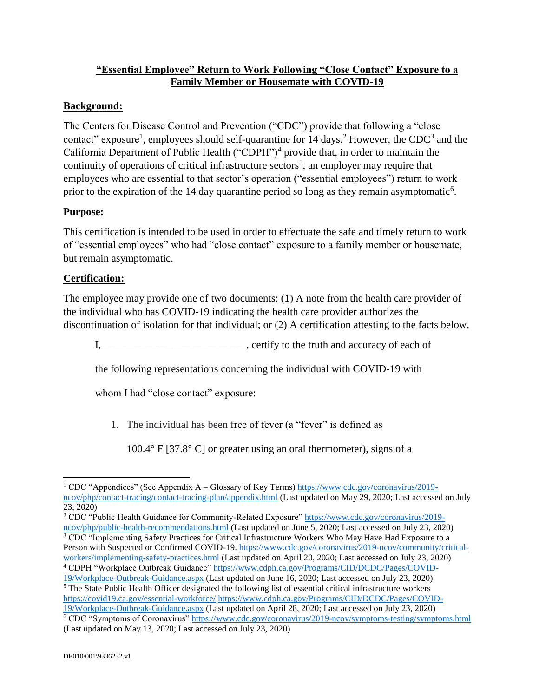## **"Essential Employee" Return to Work Following "Close Contact" Exposure to a Family Member or Housemate with COVID-19**

## **Background:**

The Centers for Disease Control and Prevention ("CDC") provide that following a "close contact" exposure<sup>1</sup>, employees should self-quarantine for 14 days.<sup>2</sup> However, the CDC<sup>3</sup> and the California Department of Public Health ("CDPH")<sup>4</sup> provide that, in order to maintain the continuity of operations of critical infrastructure sectors<sup>5</sup>, an employer may require that employees who are essential to that sector's operation ("essential employees") return to work prior to the expiration of the 14 day quarantine period so long as they remain asymptomatic<sup>6</sup>.

## **Purpose:**

This certification is intended to be used in order to effectuate the safe and timely return to work of "essential employees" who had "close contact" exposure to a family member or housemate, but remain asymptomatic.

## **Certification:**

The employee may provide one of two documents: (1) A note from the health care provider of the individual who has COVID-19 indicating the health care provider authorizes the discontinuation of isolation for that individual; or (2) A certification attesting to the facts below.

I, \_\_\_\_\_\_\_\_\_\_\_\_\_\_\_\_\_\_\_\_\_\_\_\_\_\_\_, certify to the truth and accuracy of each of

the following representations concerning the individual with COVID-19 with

whom I had "close contact" exposure:

1. The individual has been free of fever (a "fever" is defined as

100.4° F [37.8° C] or greater using an oral thermometer), signs of a

<sup>2</sup> CDC "Public Health Guidance for Community-Related Exposure" [https://www.cdc.gov/coronavirus/2019](https://www.cdc.gov/coronavirus/2019-ncov/php/public-health-recommendations.html) [ncov/php/public-health-recommendations.html](https://www.cdc.gov/coronavirus/2019-ncov/php/public-health-recommendations.html) (Last updated on June 5, 2020; Last accessed on July 23, 2020) <sup>3</sup> CDC "Implementing Safety Practices for Critical Infrastructure Workers Who May Have Had Exposure to a

Person with Suspected or Confirmed COVID-19[. https://www.cdc.gov/coronavirus/2019-ncov/community/critical](https://www.cdc.gov/coronavirus/2019-ncov/community/critical-workers/implementing-safety-practices.html)[workers/implementing-safety-practices.html](https://www.cdc.gov/coronavirus/2019-ncov/community/critical-workers/implementing-safety-practices.html) (Last updated on April 20, 2020; Last accessed on July 23, 2020) <sup>4</sup> CDPH "Workplace Outbreak Guidance" [https://www.cdph.ca.gov/Programs/CID/DCDC/Pages/COVID-](https://www.cdph.ca.gov/Programs/CID/DCDC/Pages/COVID-19/Workplace-Outbreak-Guidance.aspx)

[19/Workplace-Outbreak-Guidance.aspx](https://www.cdph.ca.gov/Programs/CID/DCDC/Pages/COVID-19/Workplace-Outbreak-Guidance.aspx) (Last updated on June 16, 2020; Last accessed on July 23, 2020)

 $\frac{5}{10}$  The State Public Health Officer designated the following list of essential critical infrastructure workers <https://covid19.ca.gov/essential-workforce/> [https://www.cdph.ca.gov/Programs/CID/DCDC/Pages/COVID-](https://www.cdph.ca.gov/Programs/CID/DCDC/Pages/COVID-19/Workplace-Outbreak-Guidance.aspx)[19/Workplace-Outbreak-Guidance.aspx](https://www.cdph.ca.gov/Programs/CID/DCDC/Pages/COVID-19/Workplace-Outbreak-Guidance.aspx) (Last updated on April 28, 2020; Last accessed on July 23, 2020) <sup>6</sup> CDC "Symptoms of Coronavirus"<https://www.cdc.gov/coronavirus/2019-ncov/symptoms-testing/symptoms.html> (Last updated on May 13, 2020; Last accessed on July 23, 2020)

 $\overline{a}$ <sup>1</sup> CDC "Appendices" (See Appendix A – Glossary of Key Terms) [https://www.cdc.gov/coronavirus/2019](https://www.cdc.gov/coronavirus/2019-ncov/php/contact-tracing/contact-tracing-plan/appendix.html) [ncov/php/contact-tracing/contact-tracing-plan/appendix.html](https://www.cdc.gov/coronavirus/2019-ncov/php/contact-tracing/contact-tracing-plan/appendix.html) (Last updated on May 29, 2020; Last accessed on July 23, 2020)